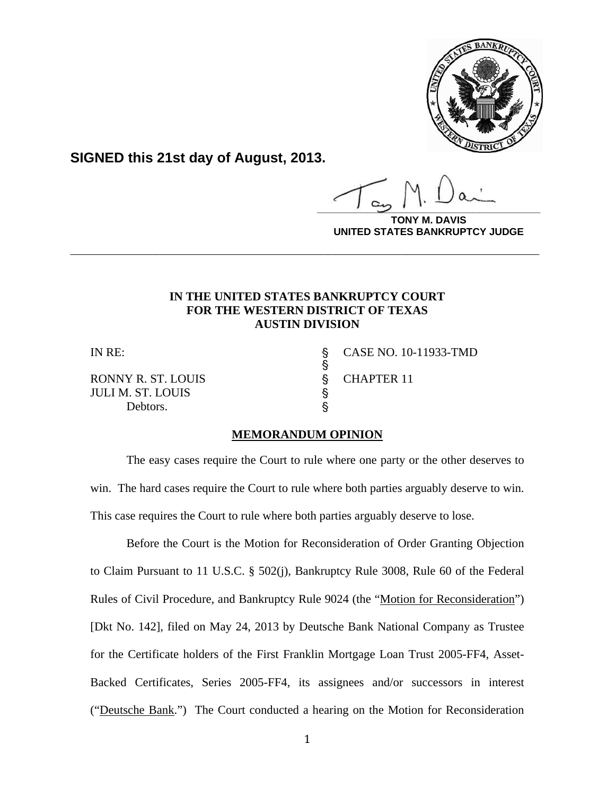

**SIGNED this 21st day of August, 2013.**

**\_\_\_\_\_\_\_\_\_\_\_\_\_\_\_\_\_\_\_\_\_\_\_\_\_\_\_\_\_\_\_\_\_\_\_\_\_\_\_\_**

**DAVIS UNITED STATES BANKRUPTCY JUDGE**

# **IN THE UNITED STATES BANKRUPTCY COURT FOR THE WESTERN DISTRICT OF TEXAS AUSTIN DIVISION**

**\_\_\_\_\_\_\_\_\_\_\_\_\_\_\_\_\_\_\_\_\_\_\_\_\_\_\_\_\_\_\_\_\_\_\_\_\_\_\_\_\_\_\_\_\_\_\_\_\_\_\_\_\_\_\_\_\_\_\_\_**

 $\mathbb{S}$ 

RONNY R. ST. LOUIS \$ CHAPTER 11<br>JULI M. ST. LOUIS \$ JULI M. ST. LOUIS ' Debtors.  $\S$ 

IN RE: \$ CASE NO. 10-11933-TMD

# **MEMORANDUM OPINION**

The easy cases require the Court to rule where one party or the other deserves to win. The hard cases require the Court to rule where both parties arguably deserve to win. This case requires the Court to rule where both parties arguably deserve to lose.

Before the Court is the Motion for Reconsideration of Order Granting Objection to Claim Pursuant to 11 U.S.C. § 502(j), Bankruptcy Rule 3008, Rule 60 of the Federal Rules of Civil Procedure, and Bankruptcy Rule 9024 (the "Motion for Reconsideration") [Dkt No. 142], filed on May 24, 2013 by Deutsche Bank National Company as Trustee for the Certificate holders of the First Franklin Mortgage Loan Trust 2005-FF4, Asset-Backed Certificates, Series 2005-FF4, its assignees and/or successors in interest ("Deutsche Bank.") The Court conducted a hearing on the Motion for Reconsideration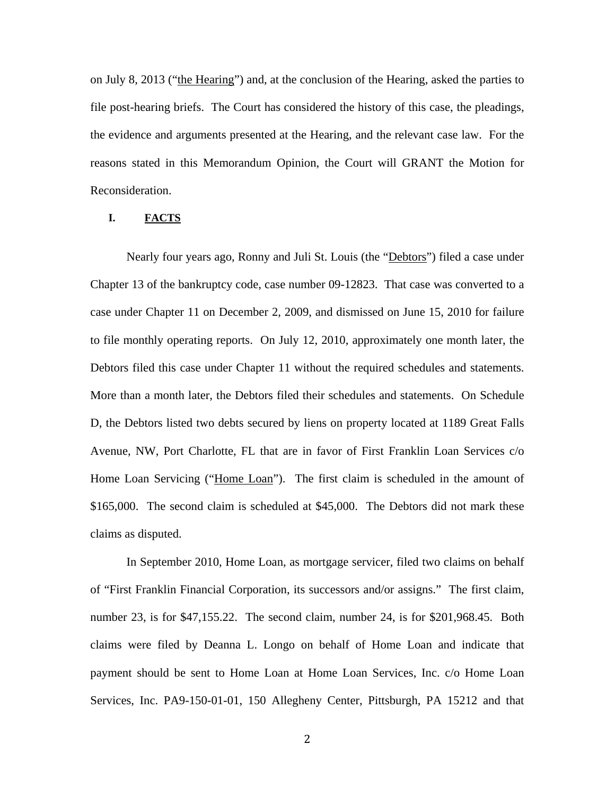on July 8, 2013 ("the Hearing") and, at the conclusion of the Hearing, asked the parties to file post-hearing briefs. The Court has considered the history of this case, the pleadings, the evidence and arguments presented at the Hearing, and the relevant case law. For the reasons stated in this Memorandum Opinion, the Court will GRANT the Motion for Reconsideration.

## **I. FACTS**

Nearly four years ago, Ronny and Juli St. Louis (the "Debtors") filed a case under Chapter 13 of the bankruptcy code, case number 09-12823. That case was converted to a case under Chapter 11 on December 2, 2009, and dismissed on June 15, 2010 for failure to file monthly operating reports. On July 12, 2010, approximately one month later, the Debtors filed this case under Chapter 11 without the required schedules and statements. More than a month later, the Debtors filed their schedules and statements. On Schedule D, the Debtors listed two debts secured by liens on property located at 1189 Great Falls Avenue, NW, Port Charlotte, FL that are in favor of First Franklin Loan Services c/o Home Loan Servicing ("Home Loan"). The first claim is scheduled in the amount of \$165,000. The second claim is scheduled at \$45,000. The Debtors did not mark these claims as disputed.

In September 2010, Home Loan, as mortgage servicer, filed two claims on behalf of "First Franklin Financial Corporation, its successors and/or assigns." The first claim, number 23, is for \$47,155.22. The second claim, number 24, is for \$201,968.45. Both claims were filed by Deanna L. Longo on behalf of Home Loan and indicate that payment should be sent to Home Loan at Home Loan Services, Inc. c/o Home Loan Services, Inc. PA9-150-01-01, 150 Allegheny Center, Pittsburgh, PA 15212 and that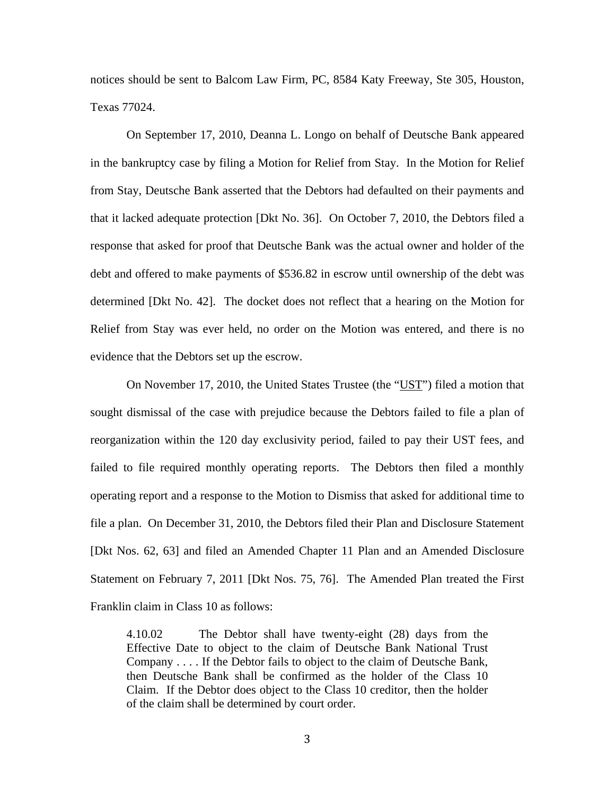notices should be sent to Balcom Law Firm, PC, 8584 Katy Freeway, Ste 305, Houston, Texas 77024.

On September 17, 2010, Deanna L. Longo on behalf of Deutsche Bank appeared in the bankruptcy case by filing a Motion for Relief from Stay. In the Motion for Relief from Stay, Deutsche Bank asserted that the Debtors had defaulted on their payments and that it lacked adequate protection [Dkt No. 36]. On October 7, 2010, the Debtors filed a response that asked for proof that Deutsche Bank was the actual owner and holder of the debt and offered to make payments of \$536.82 in escrow until ownership of the debt was determined [Dkt No. 42]. The docket does not reflect that a hearing on the Motion for Relief from Stay was ever held, no order on the Motion was entered, and there is no evidence that the Debtors set up the escrow.

On November 17, 2010, the United States Trustee (the "UST") filed a motion that sought dismissal of the case with prejudice because the Debtors failed to file a plan of reorganization within the 120 day exclusivity period, failed to pay their UST fees, and failed to file required monthly operating reports. The Debtors then filed a monthly operating report and a response to the Motion to Dismiss that asked for additional time to file a plan. On December 31, 2010, the Debtors filed their Plan and Disclosure Statement [Dkt Nos. 62, 63] and filed an Amended Chapter 11 Plan and an Amended Disclosure Statement on February 7, 2011 [Dkt Nos. 75, 76]. The Amended Plan treated the First Franklin claim in Class 10 as follows:

4.10.02 The Debtor shall have twenty-eight (28) days from the Effective Date to object to the claim of Deutsche Bank National Trust Company . . . . If the Debtor fails to object to the claim of Deutsche Bank, then Deutsche Bank shall be confirmed as the holder of the Class 10 Claim. If the Debtor does object to the Class 10 creditor, then the holder of the claim shall be determined by court order.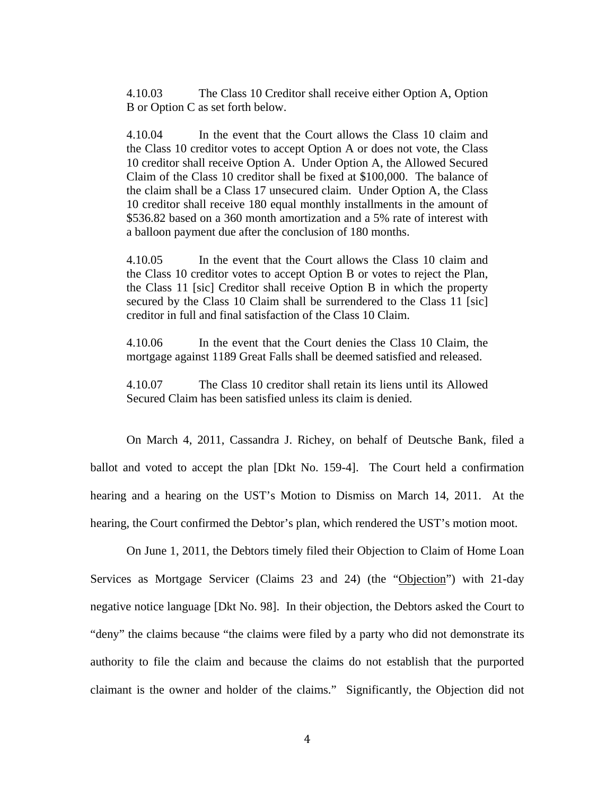4.10.03 The Class 10 Creditor shall receive either Option A, Option B or Option C as set forth below.

4.10.04 In the event that the Court allows the Class 10 claim and the Class 10 creditor votes to accept Option A or does not vote, the Class 10 creditor shall receive Option A. Under Option A, the Allowed Secured Claim of the Class 10 creditor shall be fixed at \$100,000. The balance of the claim shall be a Class 17 unsecured claim. Under Option A, the Class 10 creditor shall receive 180 equal monthly installments in the amount of \$536.82 based on a 360 month amortization and a 5% rate of interest with a balloon payment due after the conclusion of 180 months.

4.10.05 In the event that the Court allows the Class 10 claim and the Class 10 creditor votes to accept Option B or votes to reject the Plan, the Class 11 [sic] Creditor shall receive Option B in which the property secured by the Class 10 Claim shall be surrendered to the Class 11 [sic] creditor in full and final satisfaction of the Class 10 Claim.

4.10.06 In the event that the Court denies the Class 10 Claim, the mortgage against 1189 Great Falls shall be deemed satisfied and released.

4.10.07 The Class 10 creditor shall retain its liens until its Allowed Secured Claim has been satisfied unless its claim is denied.

On March 4, 2011, Cassandra J. Richey, on behalf of Deutsche Bank, filed a ballot and voted to accept the plan [Dkt No. 159-4]. The Court held a confirmation hearing and a hearing on the UST's Motion to Dismiss on March 14, 2011. At the hearing, the Court confirmed the Debtor's plan, which rendered the UST's motion moot.

On June 1, 2011, the Debtors timely filed their Objection to Claim of Home Loan Services as Mortgage Servicer (Claims 23 and 24) (the "Objection") with 21-day negative notice language [Dkt No. 98]. In their objection, the Debtors asked the Court to "deny" the claims because "the claims were filed by a party who did not demonstrate its authority to file the claim and because the claims do not establish that the purported claimant is the owner and holder of the claims." Significantly, the Objection did not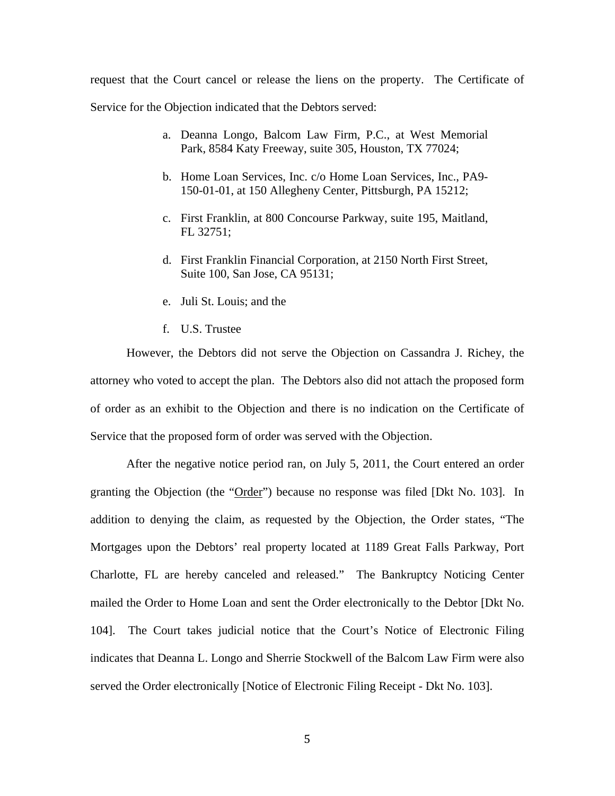request that the Court cancel or release the liens on the property. The Certificate of Service for the Objection indicated that the Debtors served:

- a. Deanna Longo, Balcom Law Firm, P.C., at West Memorial Park, 8584 Katy Freeway, suite 305, Houston, TX 77024;
- b. Home Loan Services, Inc. c/o Home Loan Services, Inc., PA9- 150-01-01, at 150 Allegheny Center, Pittsburgh, PA 15212;
- c. First Franklin, at 800 Concourse Parkway, suite 195, Maitland, FL 32751;
- d. First Franklin Financial Corporation, at 2150 North First Street, Suite 100, San Jose, CA 95131;
- e. Juli St. Louis; and the
- f. U.S. Trustee

However, the Debtors did not serve the Objection on Cassandra J. Richey, the attorney who voted to accept the plan. The Debtors also did not attach the proposed form of order as an exhibit to the Objection and there is no indication on the Certificate of Service that the proposed form of order was served with the Objection.

After the negative notice period ran, on July 5, 2011, the Court entered an order granting the Objection (the "Order") because no response was filed [Dkt No. 103]. In addition to denying the claim, as requested by the Objection, the Order states, "The Mortgages upon the Debtors' real property located at 1189 Great Falls Parkway, Port Charlotte, FL are hereby canceled and released." The Bankruptcy Noticing Center mailed the Order to Home Loan and sent the Order electronically to the Debtor [Dkt No. 104]. The Court takes judicial notice that the Court's Notice of Electronic Filing indicates that Deanna L. Longo and Sherrie Stockwell of the Balcom Law Firm were also served the Order electronically [Notice of Electronic Filing Receipt - Dkt No. 103].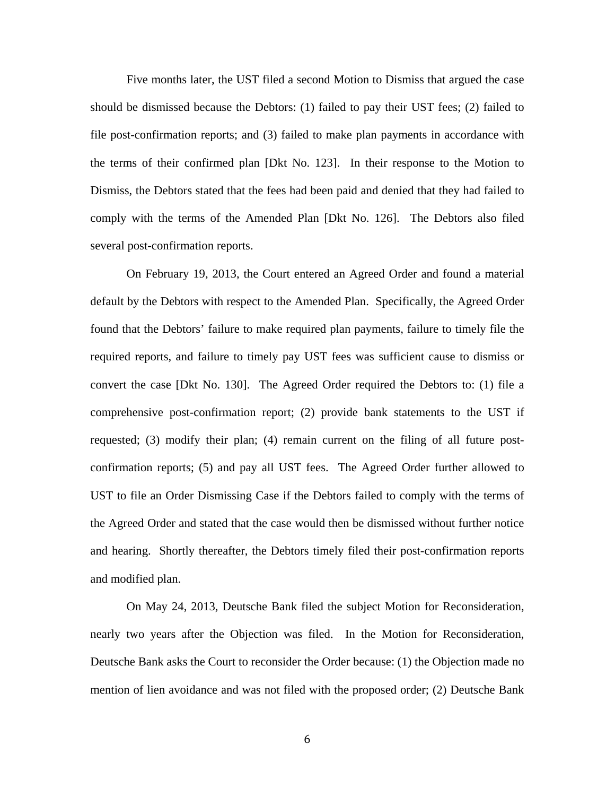Five months later, the UST filed a second Motion to Dismiss that argued the case should be dismissed because the Debtors: (1) failed to pay their UST fees; (2) failed to file post-confirmation reports; and (3) failed to make plan payments in accordance with the terms of their confirmed plan [Dkt No. 123]. In their response to the Motion to Dismiss, the Debtors stated that the fees had been paid and denied that they had failed to comply with the terms of the Amended Plan [Dkt No. 126]. The Debtors also filed several post-confirmation reports.

On February 19, 2013, the Court entered an Agreed Order and found a material default by the Debtors with respect to the Amended Plan. Specifically, the Agreed Order found that the Debtors' failure to make required plan payments, failure to timely file the required reports, and failure to timely pay UST fees was sufficient cause to dismiss or convert the case [Dkt No. 130]. The Agreed Order required the Debtors to: (1) file a comprehensive post-confirmation report; (2) provide bank statements to the UST if requested; (3) modify their plan; (4) remain current on the filing of all future postconfirmation reports; (5) and pay all UST fees. The Agreed Order further allowed to UST to file an Order Dismissing Case if the Debtors failed to comply with the terms of the Agreed Order and stated that the case would then be dismissed without further notice and hearing. Shortly thereafter, the Debtors timely filed their post-confirmation reports and modified plan.

On May 24, 2013, Deutsche Bank filed the subject Motion for Reconsideration, nearly two years after the Objection was filed. In the Motion for Reconsideration, Deutsche Bank asks the Court to reconsider the Order because: (1) the Objection made no mention of lien avoidance and was not filed with the proposed order; (2) Deutsche Bank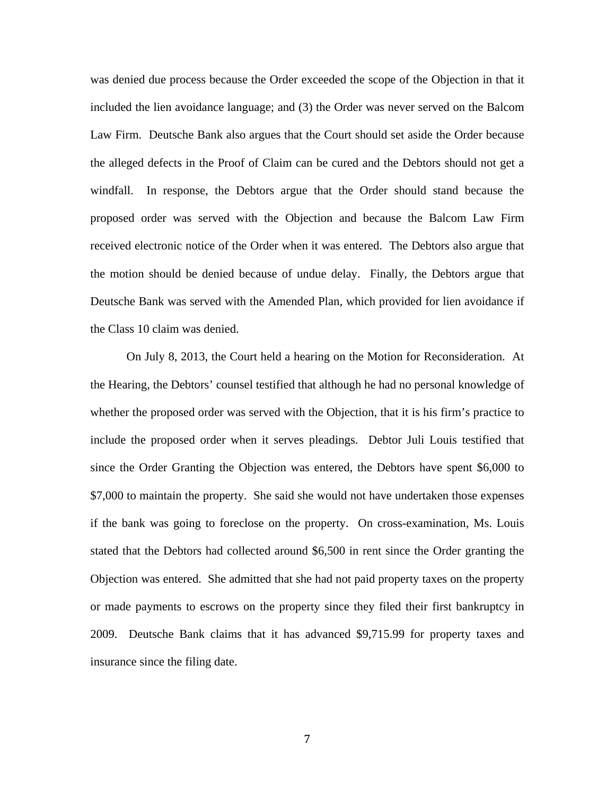was denied due process because the Order exceeded the scope of the Objection in that it included the lien avoidance language; and (3) the Order was never served on the Balcom Law Firm. Deutsche Bank also argues that the Court should set aside the Order because the alleged defects in the Proof of Claim can be cured and the Debtors should not get a windfall. In response, the Debtors argue that the Order should stand because the proposed order was served with the Objection and because the Balcom Law Firm received electronic notice of the Order when it was entered. The Debtors also argue that the motion should be denied because of undue delay. Finally, the Debtors argue that Deutsche Bank was served with the Amended Plan, which provided for lien avoidance if the Class 10 claim was denied.

On July 8, 2013, the Court held a hearing on the Motion for Reconsideration. At the Hearing, the Debtors' counsel testified that although he had no personal knowledge of whether the proposed order was served with the Objection, that it is his firm's practice to include the proposed order when it serves pleadings. Debtor Juli Louis testified that since the Order Granting the Objection was entered, the Debtors have spent \$6,000 to \$7,000 to maintain the property. She said she would not have undertaken those expenses if the bank was going to foreclose on the property. On cross-examination, Ms. Louis stated that the Debtors had collected around \$6,500 in rent since the Order granting the Objection was entered. She admitted that she had not paid property taxes on the property or made payments to escrows on the property since they filed their first bankruptcy in 2009. Deutsche Bank claims that it has advanced \$9,715.99 for property taxes and insurance since the filing date.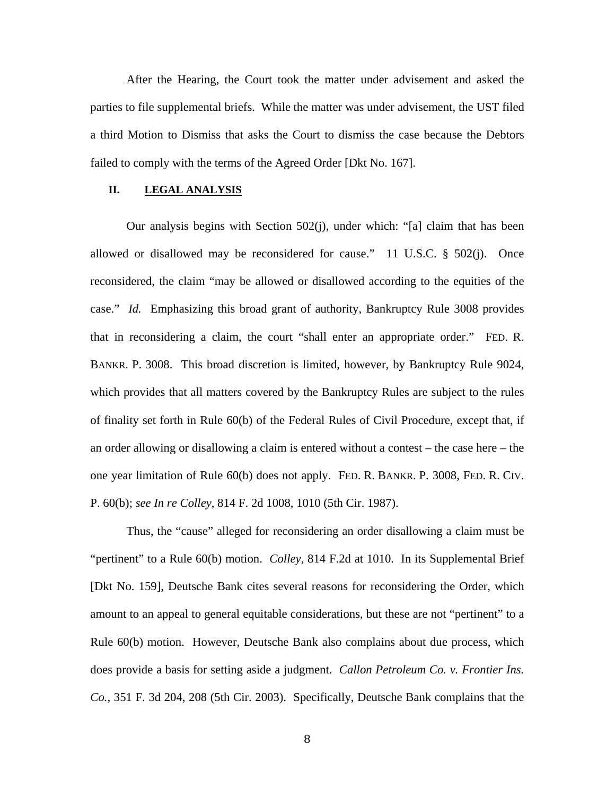After the Hearing, the Court took the matter under advisement and asked the parties to file supplemental briefs. While the matter was under advisement, the UST filed a third Motion to Dismiss that asks the Court to dismiss the case because the Debtors failed to comply with the terms of the Agreed Order [Dkt No. 167].

### **II. LEGAL ANALYSIS**

Our analysis begins with Section 502(j), under which: "[a] claim that has been allowed or disallowed may be reconsidered for cause." 11 U.S.C. § 502(j). Once reconsidered, the claim "may be allowed or disallowed according to the equities of the case." *Id.* Emphasizing this broad grant of authority, Bankruptcy Rule 3008 provides that in reconsidering a claim, the court "shall enter an appropriate order." FED. R. BANKR. P. 3008. This broad discretion is limited, however, by Bankruptcy Rule 9024, which provides that all matters covered by the Bankruptcy Rules are subject to the rules of finality set forth in Rule 60(b) of the Federal Rules of Civil Procedure, except that, if an order allowing or disallowing a claim is entered without a contest – the case here – the one year limitation of Rule 60(b) does not apply. FED. R. BANKR. P. 3008, FED. R. CIV. P. 60(b); *see In re Colley*, 814 F. 2d 1008, 1010 (5th Cir. 1987).

Thus, the "cause" alleged for reconsidering an order disallowing a claim must be "pertinent" to a Rule 60(b) motion. *Colley*, 814 F.2d at 1010. In its Supplemental Brief [Dkt No. 159], Deutsche Bank cites several reasons for reconsidering the Order, which amount to an appeal to general equitable considerations, but these are not "pertinent" to a Rule 60(b) motion. However, Deutsche Bank also complains about due process, which does provide a basis for setting aside a judgment. *Callon Petroleum Co. v. Frontier Ins. Co.*, 351 F. 3d 204, 208 (5th Cir. 2003). Specifically, Deutsche Bank complains that the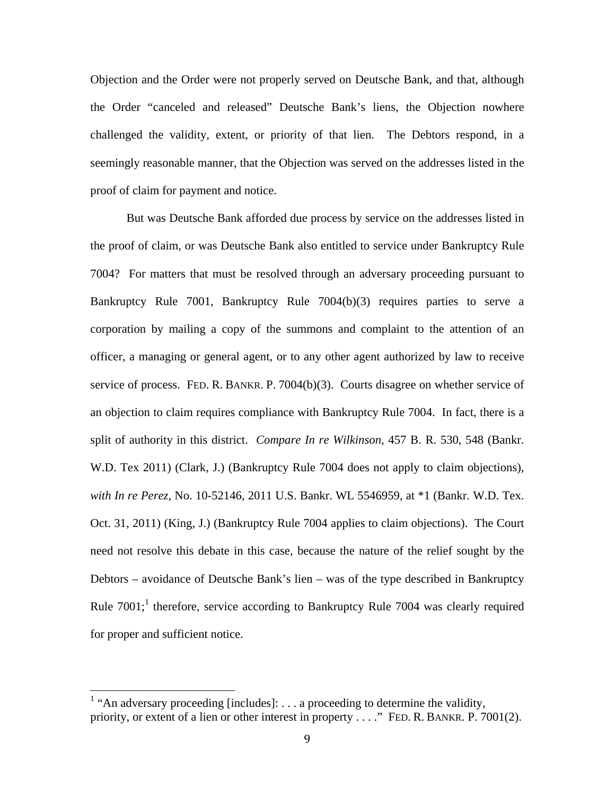Objection and the Order were not properly served on Deutsche Bank, and that, although the Order "canceled and released" Deutsche Bank's liens, the Objection nowhere challenged the validity, extent, or priority of that lien. The Debtors respond, in a seemingly reasonable manner, that the Objection was served on the addresses listed in the proof of claim for payment and notice.

But was Deutsche Bank afforded due process by service on the addresses listed in the proof of claim, or was Deutsche Bank also entitled to service under Bankruptcy Rule 7004? For matters that must be resolved through an adversary proceeding pursuant to Bankruptcy Rule 7001, Bankruptcy Rule 7004(b)(3) requires parties to serve a corporation by mailing a copy of the summons and complaint to the attention of an officer, a managing or general agent, or to any other agent authorized by law to receive service of process. FED. R. BANKR. P. 7004(b)(3). Courts disagree on whether service of an objection to claim requires compliance with Bankruptcy Rule 7004. In fact, there is a split of authority in this district. *Compare In re Wilkinson*, 457 B. R. 530, 548 (Bankr. W.D. Tex 2011) (Clark, J.) (Bankruptcy Rule 7004 does not apply to claim objections), *with In re Perez*, No. 10-52146, 2011 U.S. Bankr. WL 5546959, at \*1 (Bankr. W.D. Tex. Oct. 31, 2011) (King, J.) (Bankruptcy Rule 7004 applies to claim objections). The Court need not resolve this debate in this case, because the nature of the relief sought by the Debtors – avoidance of Deutsche Bank's lien – was of the type described in Bankruptcy Rule  $7001$ ; therefore, service according to Bankruptcy Rule  $7004$  was clearly required for proper and sufficient notice.

 

<sup>&</sup>lt;sup>1</sup> "An adversary proceeding [includes]:  $\dots$  a proceeding to determine the validity, priority, or extent of a lien or other interest in property . . . ." FED. R. BANKR. P. 7001(2).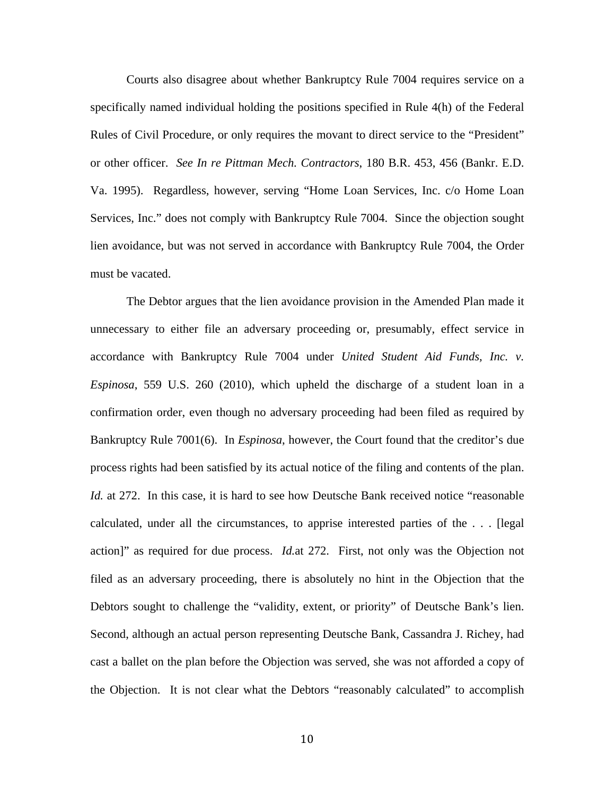Courts also disagree about whether Bankruptcy Rule 7004 requires service on a specifically named individual holding the positions specified in Rule 4(h) of the Federal Rules of Civil Procedure, or only requires the movant to direct service to the "President" or other officer. *See In re Pittman Mech. Contractors*, 180 B.R. 453, 456 (Bankr. E.D. Va. 1995). Regardless, however, serving "Home Loan Services, Inc. c/o Home Loan Services, Inc." does not comply with Bankruptcy Rule 7004. Since the objection sought lien avoidance, but was not served in accordance with Bankruptcy Rule 7004, the Order must be vacated.

The Debtor argues that the lien avoidance provision in the Amended Plan made it unnecessary to either file an adversary proceeding or, presumably, effect service in accordance with Bankruptcy Rule 7004 under *United Student Aid Funds, Inc. v. Espinosa*, 559 U.S. 260 (2010), which upheld the discharge of a student loan in a confirmation order, even though no adversary proceeding had been filed as required by Bankruptcy Rule 7001(6). In *Espinosa*, however, the Court found that the creditor's due process rights had been satisfied by its actual notice of the filing and contents of the plan. *Id.* at 272. In this case, it is hard to see how Deutsche Bank received notice "reasonable" calculated, under all the circumstances, to apprise interested parties of the . . . [legal action]" as required for due process. *Id.*at 272. First, not only was the Objection not filed as an adversary proceeding, there is absolutely no hint in the Objection that the Debtors sought to challenge the "validity, extent, or priority" of Deutsche Bank's lien. Second, although an actual person representing Deutsche Bank, Cassandra J. Richey, had cast a ballet on the plan before the Objection was served, she was not afforded a copy of the Objection. It is not clear what the Debtors "reasonably calculated" to accomplish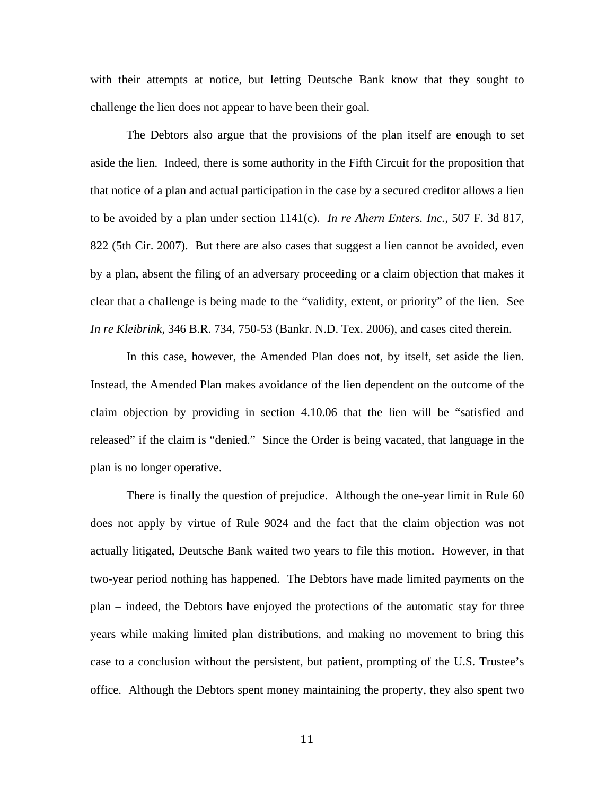with their attempts at notice, but letting Deutsche Bank know that they sought to challenge the lien does not appear to have been their goal.

The Debtors also argue that the provisions of the plan itself are enough to set aside the lien. Indeed, there is some authority in the Fifth Circuit for the proposition that that notice of a plan and actual participation in the case by a secured creditor allows a lien to be avoided by a plan under section 1141(c). *In re Ahern Enters. Inc.*, 507 F. 3d 817, 822 (5th Cir. 2007). But there are also cases that suggest a lien cannot be avoided, even by a plan, absent the filing of an adversary proceeding or a claim objection that makes it clear that a challenge is being made to the "validity, extent, or priority" of the lien. See *In re Kleibrink*, 346 B.R. 734, 750-53 (Bankr. N.D. Tex. 2006), and cases cited therein.

In this case, however, the Amended Plan does not, by itself, set aside the lien. Instead, the Amended Plan makes avoidance of the lien dependent on the outcome of the claim objection by providing in section 4.10.06 that the lien will be "satisfied and released" if the claim is "denied." Since the Order is being vacated, that language in the plan is no longer operative.

There is finally the question of prejudice. Although the one-year limit in Rule 60 does not apply by virtue of Rule 9024 and the fact that the claim objection was not actually litigated, Deutsche Bank waited two years to file this motion. However, in that two-year period nothing has happened. The Debtors have made limited payments on the plan – indeed, the Debtors have enjoyed the protections of the automatic stay for three years while making limited plan distributions, and making no movement to bring this case to a conclusion without the persistent, but patient, prompting of the U.S. Trustee's office. Although the Debtors spent money maintaining the property, they also spent two